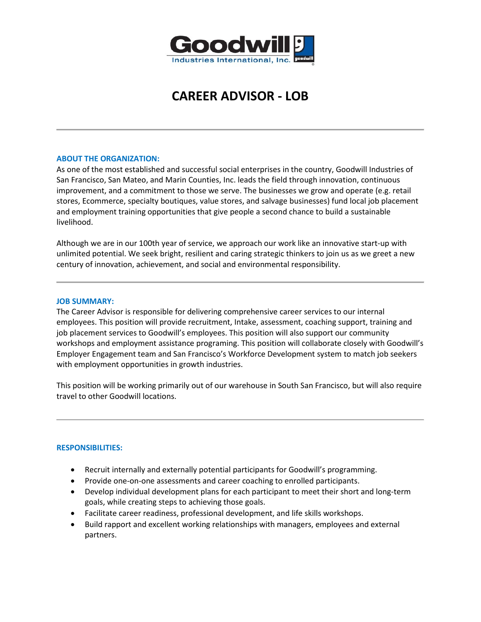

# **CAREER ADVISOR - LOB**

### **ABOUT THE ORGANIZATION:**

As one of the most established and successful social enterprises in the country, Goodwill Industries of San Francisco, San Mateo, and Marin Counties, Inc. leads the field through innovation, continuous improvement, and a commitment to those we serve. The businesses we grow and operate (e.g. retail stores, Ecommerce, specialty boutiques, value stores, and salvage businesses) fund local job placement and employment training opportunities that give people a second chance to build a sustainable livelihood.

Although we are in our 100th year of service, we approach our work like an innovative start-up with unlimited potential. We seek bright, resilient and caring strategic thinkers to join us as we greet a new century of innovation, achievement, and social and environmental responsibility.

#### **JOB SUMMARY:**

The Career Advisor is responsible for delivering comprehensive career services to our internal employees. This position will provide recruitment, Intake, assessment, coaching support, training and job placement services to Goodwill's employees. This position will also support our community workshops and employment assistance programing. This position will collaborate closely with Goodwill's Employer Engagement team and San Francisco's Workforce Development system to match job seekers with employment opportunities in growth industries.

This position will be working primarily out of our warehouse in South San Francisco, but will also require travel to other Goodwill locations.

#### **RESPONSIBILITIES:**

- Recruit internally and externally potential participants for Goodwill's programming.
- Provide one-on-one assessments and career coaching to enrolled participants.
- Develop individual development plans for each participant to meet their short and long-term goals, while creating steps to achieving those goals.
- Facilitate career readiness, professional development, and life skills workshops.
- Build rapport and excellent working relationships with managers, employees and external partners.